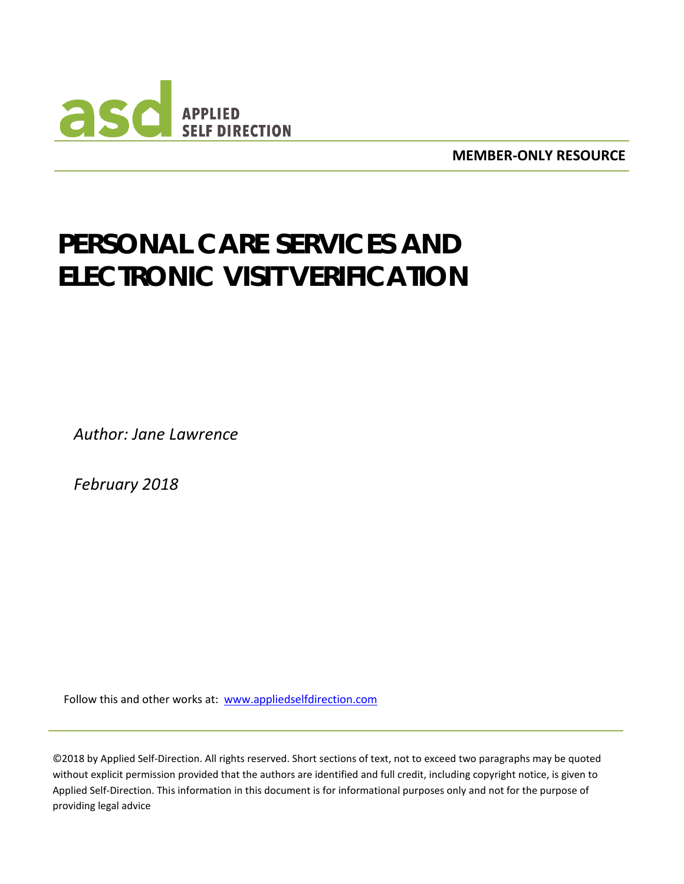

**MEMBER-ONLY RESOURCE**

# **PERSONAL CARE SERVICES AND ELECTRONIC VISIT VERIFICATION**

*Author: Jane Lawrence*

*February 2018*

Follow this and other works at: www[.appliedselfdirection.com](http://www.participantdirection.org/)

©2018 by Applied Self-Direction. All rights reserved. Short sections of text, not to exceed two paragraphs may be quoted without explicit permission provided that the authors are identified and full credit, including copyright notice, is given to Applied Self-Direction. This information in this document is for informational purposes only and not for the purpose of providing legal advice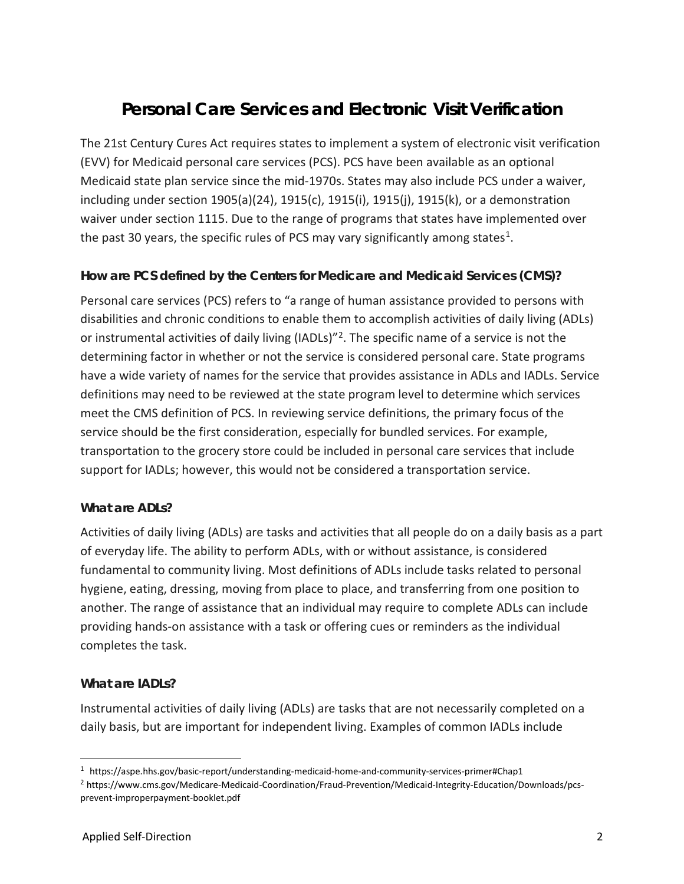# **Personal Care Services and Electronic Visit Verification**

The 21st Century Cures Act requires states to implement a system of electronic visit verification (EVV) for Medicaid personal care services (PCS). PCS have been available as an optional Medicaid state plan service since the mid-1970s. States may also include PCS under a waiver, including under section 1905(a)(24), 1915(c), 1915(i), 1915(j), 1915(k), or a demonstration waiver under section 1115. Due to the range of programs that states have implemented over the past 30 years, the specific rules of PCS may vary significantly among states<sup>1</sup>.

# **How are PCS defined by the Centers for Medicare and Medicaid Services (CMS)?**

Personal care services (PCS) refers to "a range of human assistance provided to persons with disabilities and chronic conditions to enable them to accomplish activities of daily living (ADLs) or instrumental activities of daily living (IADLs)<sup>"[2](#page-1-1)</sup>. The specific name of a service is not the determining factor in whether or not the service is considered personal care. State programs have a wide variety of names for the service that provides assistance in ADLs and IADLs. Service definitions may need to be reviewed at the state program level to determine which services meet the CMS definition of PCS. In reviewing service definitions, the primary focus of the service should be the first consideration, especially for bundled services. For example, transportation to the grocery store could be included in personal care services that include support for IADLs; however, this would not be considered a transportation service.

# **What are ADLs?**

Activities of daily living (ADLs) are tasks and activities that all people do on a daily basis as a part of everyday life. The ability to perform ADLs, with or without assistance, is considered fundamental to community living. Most definitions of ADLs include tasks related to personal hygiene, eating, dressing, moving from place to place, and transferring from one position to another. The range of assistance that an individual may require to complete ADLs can include providing hands-on assistance with a task or offering cues or reminders as the individual completes the task.

# **What are IADLs?**

Instrumental activities of daily living (ADLs) are tasks that are not necessarily completed on a daily basis, but are important for independent living. Examples of common IADLs include

<span id="page-1-0"></span> <sup>1</sup> https://aspe.hhs.gov/basic-report/understanding-medicaid-home-and-community-services-primer#Chap1

<span id="page-1-1"></span><sup>2</sup> https://www.cms.gov/Medicare-Medicaid-Coordination/Fraud-Prevention/Medicaid-Integrity-Education/Downloads/pcsprevent-improperpayment-booklet.pdf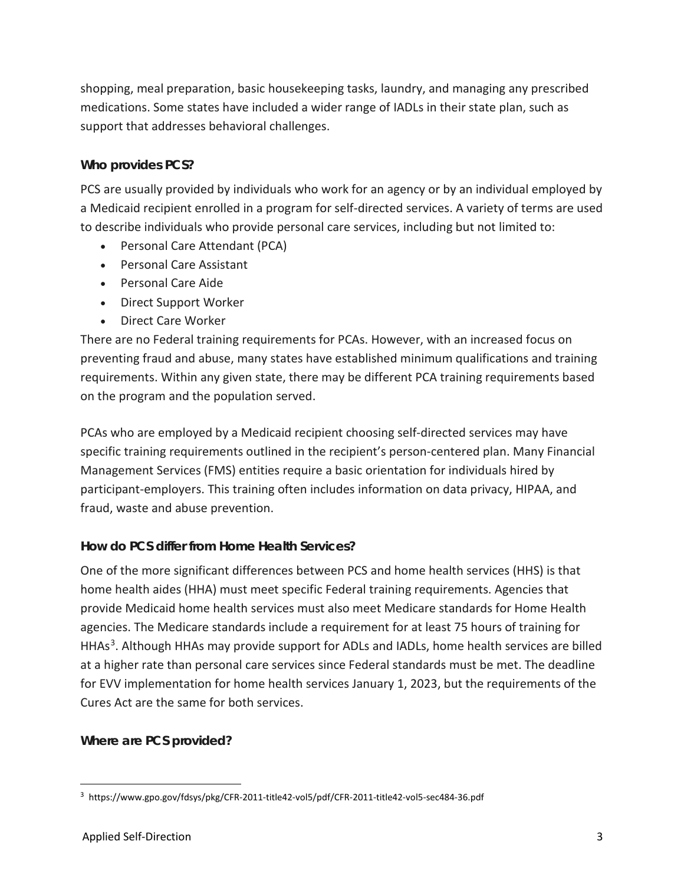shopping, meal preparation, basic housekeeping tasks, laundry, and managing any prescribed medications. Some states have included a wider range of IADLs in their state plan, such as support that addresses behavioral challenges.

# **Who provides PCS?**

PCS are usually provided by individuals who work for an agency or by an individual employed by a Medicaid recipient enrolled in a program for self-directed services. A variety of terms are used to describe individuals who provide personal care services, including but not limited to:

- Personal Care Attendant (PCA)
- Personal Care Assistant
- Personal Care Aide
- Direct Support Worker
- Direct Care Worker

There are no Federal training requirements for PCAs. However, with an increased focus on preventing fraud and abuse, many states have established minimum qualifications and training requirements. Within any given state, there may be different PCA training requirements based on the program and the population served.

PCAs who are employed by a Medicaid recipient choosing self-directed services may have specific training requirements outlined in the recipient's person-centered plan. Many Financial Management Services (FMS) entities require a basic orientation for individuals hired by participant-employers. This training often includes information on data privacy, HIPAA, and fraud, waste and abuse prevention.

# **How do PCS differ from Home Health Services?**

One of the more significant differences between PCS and home health services (HHS) is that home health aides (HHA) must meet specific Federal training requirements. Agencies that provide Medicaid home health services must also meet Medicare standards for Home Health agencies. The Medicare standards include a requirement for at least 75 hours of training for HHAs<sup>[3](#page-2-0)</sup>. Although HHAs may provide support for ADLs and IADLs, home health services are billed at a higher rate than personal care services since Federal standards must be met. The deadline for EVV implementation for home health services January 1, 2023, but the requirements of the Cures Act are the same for both services.

# **Where are PCS provided?**

<span id="page-2-0"></span> <sup>3</sup> https://www.gpo.gov/fdsys/pkg/CFR-2011-title42-vol5/pdf/CFR-2011-title42-vol5-sec484-36.pdf